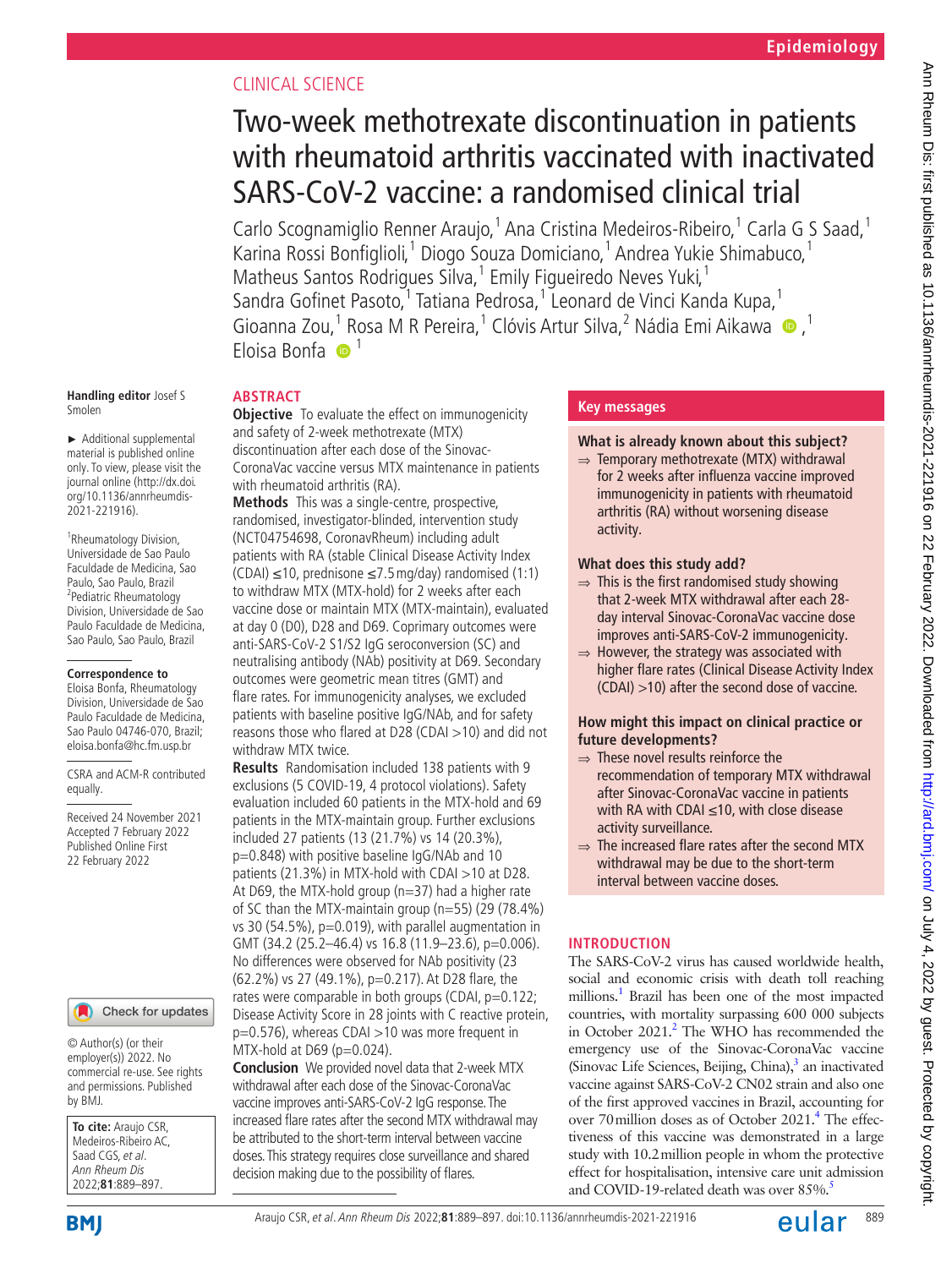# CLINICAL SCIENCE

# Two-week methotrexate discontinuation in patients with rheumatoid arthritis vaccinated with inactivated SARS-CoV-2 vaccine: a randomised clinical trial

Carlo Scognamiglio Renner Araujo,<sup>1</sup> Ana Cristina Medeiros-Ribeiro,<sup>1</sup> Carla G S Saad,<sup>1</sup> Karina Rossi Bonfiglioli,<sup>1</sup> Diogo Souza Domiciano,<sup>1</sup> Andrea Yukie Shimabuco,<sup>1</sup> Matheus Santos Rodrigues Silva,<sup>1</sup> Emily Figueiredo Neves Yuki,<sup>1</sup> Sandra Gofinet Pasoto,<sup>1</sup> Tatiana Pedrosa,<sup>1</sup> Leonard de Vinci Kanda Kupa,<sup>1</sup> GioannaZou,<sup>1</sup> Rosa M R Pereira,<sup>1</sup> Clóvis Artur Silva,<sup>2</sup> Nádia Emi Aikawa  $\bullet$ ,<sup>1</sup> Eloisa Bonfa  $\bullet$ <sup>1</sup>

#### **Handling editor** Josef S Smolen

► Additional supplemental material is published online only. To view, please visit the journal online ([http://dx.doi.](http://dx.doi.org/10.1136/annrheumdis-2021-221916) [org/10.1136/annrheumdis-](http://dx.doi.org/10.1136/annrheumdis-2021-221916)[2021-221916\)](http://dx.doi.org/10.1136/annrheumdis-2021-221916).

1 Rheumatology Division, Universidade de Sao Paulo Faculdade de Medicina, Sao Paulo, Sao Paulo, Brazil <sup>2</sup> Pediatric Rheumatology Division, Universidade de Sao Paulo Faculdade de Medicina, Sao Paulo, Sao Paulo, Brazil

#### **Correspondence to**

Eloisa Bonfa, Rheumatology Division, Universidade de Sao Paulo Faculdade de Medicina, Sao Paulo 04746-070, Brazil; eloisa.bonfa@hc.fm.usp.br

CSRA and ACM-R contributed equally.

Received 24 November 2021 Accepted 7 February 2022 Published Online First 22 February 2022

#### Check for updates

© Author(s) (or their employer(s)) 2022. No commercial re-use. See rights and permissions. Published by BMJ.

**To cite:** Araujo CSR, Medeiros-Ribeiro AC, Saad CGS, et al. Ann Rheum Dis 2022;**81**:889–897.

# **ABSTRACT**

**Objective** To evaluate the effect on immunogenicity and safety of 2-week methotrexate (MTX) discontinuation after each dose of the Sinovac-CoronaVac vaccine versus MTX maintenance in patients with rheumatoid arthritis (RA).

**Methods** This was a single-centre, prospective, randomised, investigator-blinded, intervention study (NCT04754698, CoronavRheum) including adult patients with RA (stable Clinical Disease Activity Index (CDAI) ≤10, prednisone ≤7.5mg/day) randomised (1:1) to withdraw MTX (MTX-hold) for 2 weeks after each vaccine dose or maintain MTX (MTX-maintain), evaluated at day 0 (D0), D28 and D69. Coprimary outcomes were anti-SARS-CoV-2 S1/S2 IgG seroconversion (SC) and neutralising antibody (NAb) positivity at D69. Secondary outcomes were geometric mean titres (GMT) and flare rates. For immunogenicity analyses, we excluded patients with baseline positive IgG/NAb, and for safety reasons those who flared at D28 (CDAI >10) and did not withdraw MTX twice.

**Results** Randomisation included 138 patients with 9 exclusions (5 COVID-19, 4 protocol violations). Safety evaluation included 60 patients in the MTX-hold and 69 patients in the MTX-maintain group. Further exclusions included 27 patients (13 (21.7%) vs 14 (20.3%), p=0.848) with positive baseline IgG/NAb and 10 patients (21.3%) in MTX-hold with CDAI >10 at D28. At D69, the MTX-hold group (n=37) had a higher rate of SC than the MTX-maintain group (n=55) (29 (78.4%) vs 30 (54.5%), p=0.019), with parallel augmentation in GMT (34.2 (25.2-46.4) vs 16.8 (11.9-23.6), p=0.006). No differences were observed for NAb positivity (23 (62.2%) vs 27 (49.1%), p=0.217). At D28 flare, the rates were comparable in both groups (CDAI, p=0.122; Disease Activity Score in 28 joints with C reactive protein, p=0.576), whereas CDAI >10 was more frequent in MTX-hold at D69 (p=0.024).

**Conclusion** We provided novel data that 2-week MTX withdrawal after each dose of the Sinovac-CoronaVac vaccine improves anti-SARS-CoV-2 IgG response. The increased flare rates after the second MTX withdrawal may be attributed to the short-term interval between vaccine doses. This strategy requires close surveillance and shared decision making due to the possibility of flares.

# **Key messages**

## **What is already known about this subject?**

 $\Rightarrow$  Temporary methotrexate (MTX) withdrawal for 2 weeks after influenza vaccine improved immunogenicity in patients with rheumatoid arthritis (RA) without worsening disease activity.

## **What does this study add?**

- $\Rightarrow$  This is the first randomised study showing that 2-week MTX withdrawal after each 28 day interval Sinovac-CoronaVac vaccine dose improves anti-SARS-CoV-2 immunogenicity.
- $\Rightarrow$  However, the strategy was associated with higher flare rates (Clinical Disease Activity Index (CDAI) >10) after the second dose of vaccine.

## **How might this impact on clinical practice or future developments?**

- ⇒ These novel results reinforce the recommendation of temporary MTX withdrawal after Sinovac-CoronaVac vaccine in patients with RA with CDAI ≤10, with close disease activity surveillance.
- $\Rightarrow$  The increased flare rates after the second MTX withdrawal may be due to the short-term interval between vaccine doses.

# **INTRODUCTION**

The SARS-CoV-2 virus has caused worldwide health, social and economic crisis with death toll reaching millions.<sup>1</sup> Brazil has been one of the most impacted countries, with mortality surpassing 600 000 subjects in October [2](#page-8-1)021.<sup>2</sup> The WHO has recommended the emergency use of the Sinovac-CoronaVac vaccine (Sinovac Life Sciences, Beijing, China),<sup>[3](#page-8-2)</sup> an inactivated vaccine against SARS-CoV-2 CN02 strain and also one of the first approved vaccines in Brazil, accounting for over 70 million doses as of October 2021.<sup>4</sup> The effectiveness of this vaccine was demonstrated in a large study with 10.2million people in whom the protective effect for hospitalisation, intensive care unit admission and COVID-19-related death was over 85%.

**BMI** 

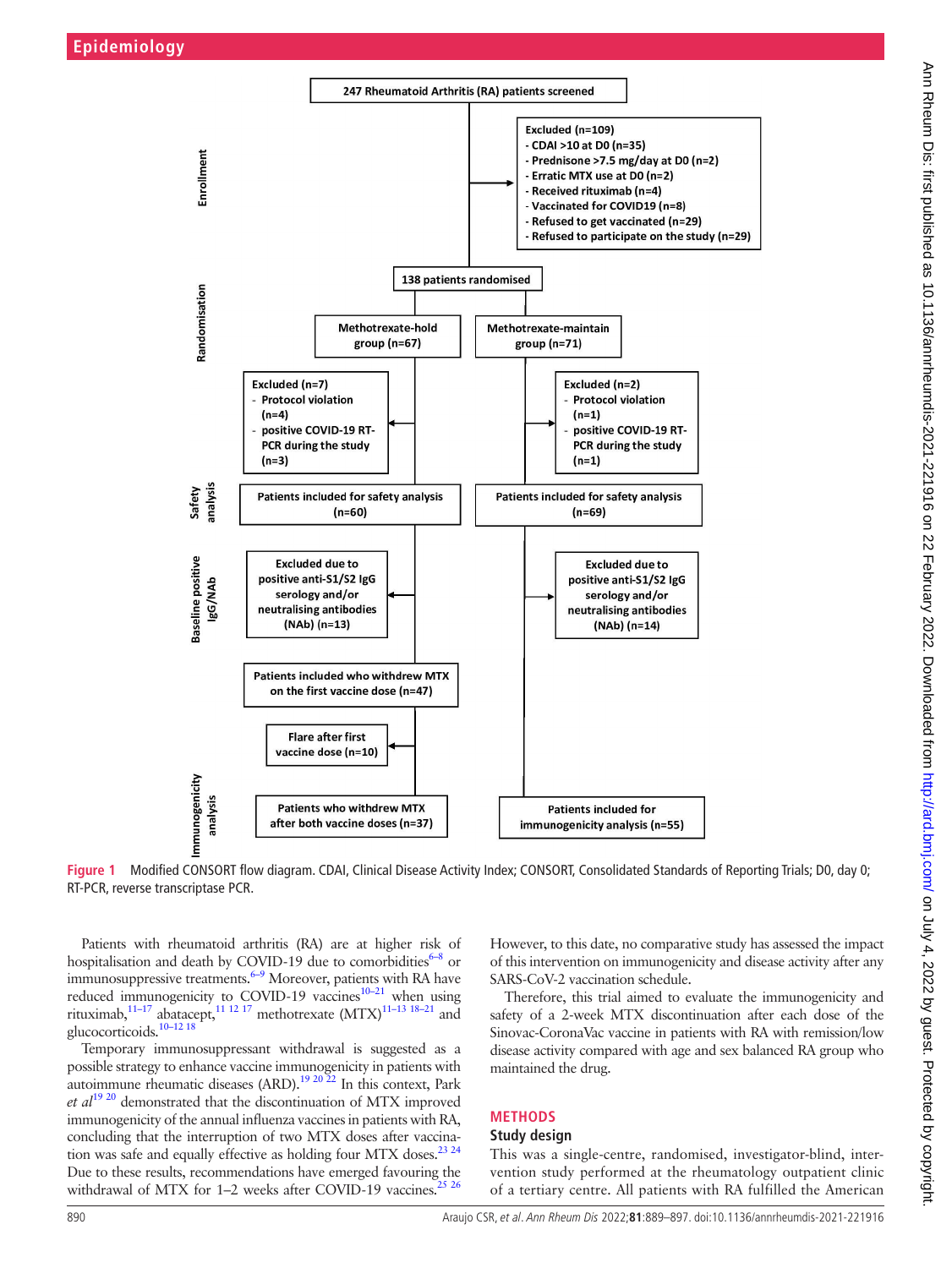

**Figure 1** Modified CONSORT flow diagram. CDAI, Clinical Disease Activity Index; CONSORT, Consolidated Standards of Reporting Trials; D0, day 0; RT-PCR, reverse transcriptase PCR.

Patients with rheumatoid arthritis (RA) are at higher risk of hospitalisation and death by COVID-19 due to comorbidities $6-8$  or immunosuppressive treatments.<sup>6–9</sup> Moreover, patients with RA have reduced immunogenicity to COVID-19 vaccines<sup>10–21</sup> when using rituximab,<sup>11-17</sup> abatacept,<sup>11 12 17</sup> methotrexate  $(MTX)^{11-13}$  18-21 and glucocorticoids[.10–12 18](#page-8-6)

Temporary immunosuppressant withdrawal is suggested as a possible strategy to enhance vaccine immunogenicity in patients with autoimmune rheumatic diseases  $(ARD)$ .<sup>[19 20 22](#page-8-8)</sup> In this context, Park *et al*[19 20](#page-8-8) demonstrated that the discontinuation of MTX improved immunogenicity of the annual influenza vaccines in patients with RA, concluding that the interruption of two MTX doses after vaccination was safe and equally effective as holding four MTX doses.<sup>23 24</sup> Due to these results, recommendations have emerged favouring the withdrawal of MTX for 1–2 weeks after COVID-19 vaccines.<sup>[25 26](#page-8-10)</sup>

<span id="page-1-0"></span>However, to this date, no comparative study has assessed the impact of this intervention on immunogenicity and disease activity after any SARS-CoV-2 vaccination schedule.

Therefore, this trial aimed to evaluate the immunogenicity and safety of a 2-week MTX discontinuation after each dose of the Sinovac-CoronaVac vaccine in patients with RA with remission/low disease activity compared with age and sex balanced RA group who maintained the drug.

# **METHODS**

#### **Study design**

This was a single-centre, randomised, investigator-blind, intervention study performed at the rheumatology outpatient clinic of a tertiary centre. All patients with RA fulfilled the American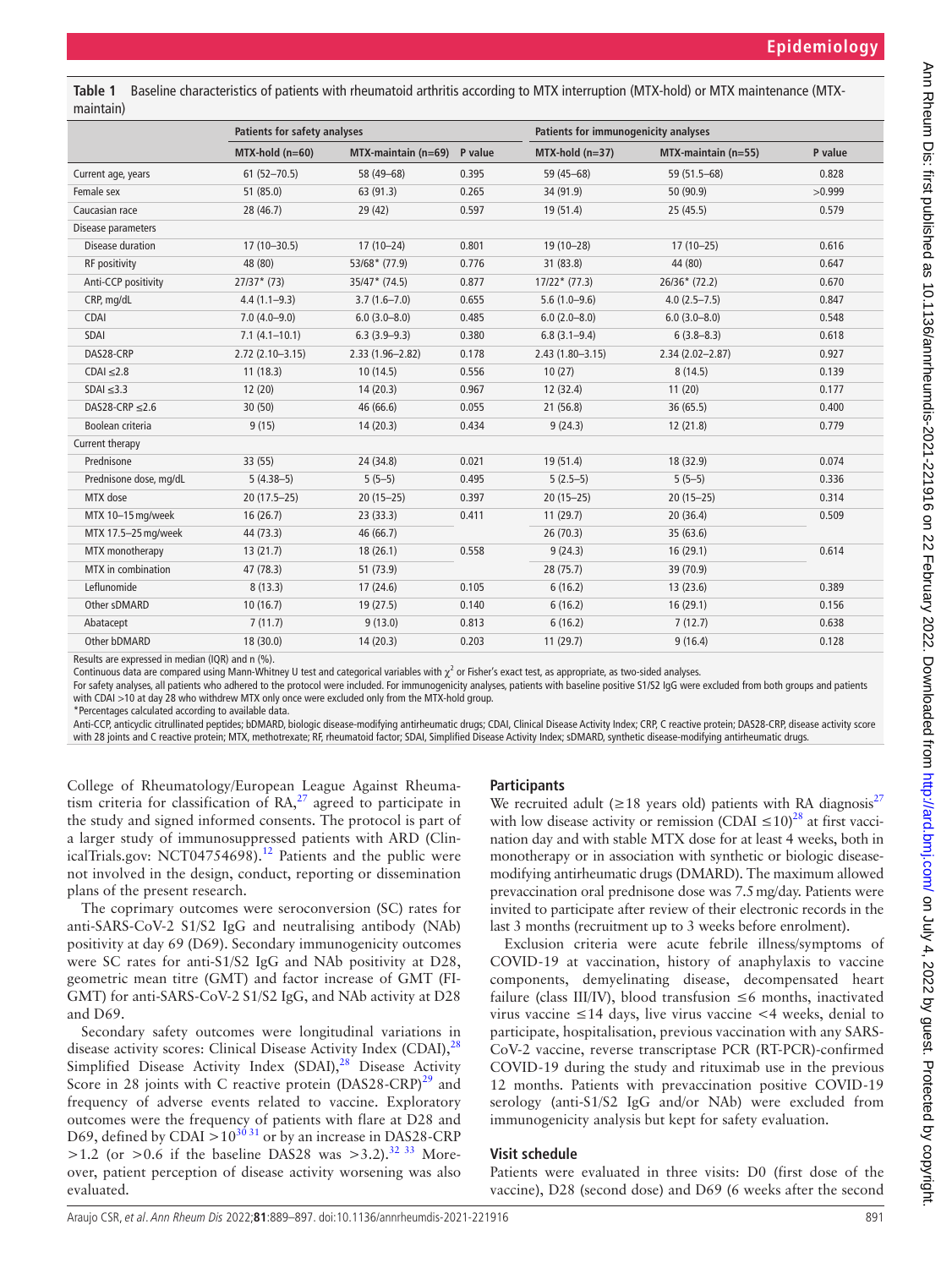<span id="page-2-0"></span>**Table 1** Baseline characteristics of patients with rheumatoid arthritis according to MTX interruption (MTX-hold) or MTX maintenance (MTXmaintain)

|                        | Patients for safety analyses |                        |         | Patients for immunogenicity analyses |                     |         |  |
|------------------------|------------------------------|------------------------|---------|--------------------------------------|---------------------|---------|--|
|                        |                              |                        |         |                                      |                     |         |  |
|                        | $MTX-hold (n=60)$            | $MTX$ -maintain (n=69) | P value | $MTX-hold (n=37)$                    | MTX-maintain (n=55) | P value |  |
| Current age, years     | $61(52 - 70.5)$              | 58 (49-68)             | 0.395   | $59(45 - 68)$                        | 59 (51.5-68)        | 0.828   |  |
| Female sex             | 51 (85.0)                    | 63 (91.3)              | 0.265   | 34 (91.9)                            | 50 (90.9)           | >0.999  |  |
| Caucasian race         | 28 (46.7)                    | 29(42)                 | 0.597   | 19(51.4)                             | 25(45.5)            | 0.579   |  |
| Disease parameters     |                              |                        |         |                                      |                     |         |  |
| Disease duration       | $17(10 - 30.5)$              | $17(10-24)$            | 0.801   | $19(10 - 28)$                        | $17(10-25)$         | 0.616   |  |
| RF positivity          | 48 (80)                      | $53/68*(77.9)$         | 0.776   | 31 (83.8)                            | 44 (80)             | 0.647   |  |
| Anti-CCP positivity    | $27/37*(73)$                 | $35/47*(74.5)$         | 0.877   | $17/22*(77.3)$                       | $26/36*(72.2)$      | 0.670   |  |
| CRP, mg/dL             | $4.4(1.1-9.3)$               | $3.7(1.6 - 7.0)$       | 0.655   | $5.6(1.0-9.6)$                       | $4.0(2.5 - 7.5)$    | 0.847   |  |
| CDAI                   | $7.0(4.0 - 9.0)$             | $6.0(3.0 - 8.0)$       | 0.485   | $6.0(2.0 - 8.0)$                     | $6.0(3.0 - 8.0)$    | 0.548   |  |
| SDAI                   | $7.1(4.1-10.1)$              | $6.3(3.9-9.3)$         | 0.380   | $6.8(3.1 - 9.4)$                     | $6(3.8 - 8.3)$      | 0.618   |  |
| DAS28-CRP              | $2.72(2.10-3.15)$            | $2.33(1.96 - 2.82)$    | 0.178   | $2.43(1.80 - 3.15)$                  | $2.34(2.02 - 2.87)$ | 0.927   |  |
| $CDAI \leq 2.8$        | 11(18.3)                     | 10(14.5)               | 0.556   | 10(27)                               | 8(14.5)             | 0.139   |  |
| $SDAI \leq 3.3$        | 12(20)                       | 14(20.3)               | 0.967   | 12(32.4)                             | 11(20)              | 0.177   |  |
| DAS28-CRP $\leq$ 2.6   | 30 (50)                      | 46 (66.6)              | 0.055   | 21(56.8)                             | 36 (65.5)           | 0.400   |  |
| Boolean criteria       | 9(15)                        | 14(20.3)               | 0.434   | 9(24.3)                              | 12(21.8)            | 0.779   |  |
| Current therapy        |                              |                        |         |                                      |                     |         |  |
| Prednisone             | 33 (55)                      | 24 (34.8)              | 0.021   | 19(51.4)                             | 18 (32.9)           | 0.074   |  |
| Prednisone dose, mg/dL | $5(4.38-5)$                  | $5(5-5)$               | 0.495   | $5(2.5-5)$                           | $5(5-5)$            | 0.336   |  |
| MTX dose               | $20(17.5-25)$                | $20(15-25)$            | 0.397   | $20(15-25)$                          | $20(15 - 25)$       | 0.314   |  |
| MTX 10-15 mg/week      | 16(26.7)                     | 23(33.3)               | 0.411   | 11(29.7)                             | 20(36.4)            | 0.509   |  |
| MTX 17.5-25 mg/week    | 44 (73.3)                    | 46 (66.7)              |         | 26(70.3)                             | 35 (63.6)           |         |  |
| MTX monotherapy        | 13(21.7)                     | 18(26.1)               | 0.558   | 9(24.3)                              | 16(29.1)            | 0.614   |  |
| MTX in combination     | 47 (78.3)                    | 51 (73.9)              |         | 28(75.7)                             | 39 (70.9)           |         |  |
| Leflunomide            | 8(13.3)                      | 17(24.6)               | 0.105   | 6(16.2)                              | 13(23.6)            | 0.389   |  |
| Other sDMARD           | 10(16.7)                     | 19(27.5)               | 0.140   | 6(16.2)                              | 16(29.1)            | 0.156   |  |
| Abatacept              | 7(11.7)                      | 9(13.0)                | 0.813   | 6(16.2)                              | 7(12.7)             | 0.638   |  |
| Other bDMARD           | 18(30.0)                     | 14(20.3)               | 0.203   | 11(29.7)                             | 9(16.4)             | 0.128   |  |
|                        |                              |                        |         |                                      |                     |         |  |

Results are expressed in median (IQR) and n (%).

Continuous data are compared using Mann-Whitney U test and categorical variables with  $\chi^2$  or Fisher's exact test, as appropriate, as two-sided analyses.

For safety analyses, all patients who adhered to the protocol were included. For immunogenicity analyses, patients with baseline positive S1/S2 IgG were excluded from both groups and patients with CDAI >10 at day 28 who withdrew MTX only once were excluded only from the MTX-hold group.

\*Percentages calculated according to available data.

Anti-CCP, anticyclic citrullinated peptides; bDMARD, biologic disease-modifying antirheumatic drugs; CDAI, Clinical Disease Activity Index; CRP, C reactive protein; DAS28-CRP, disease activity score with 28 joints and C reactive protein; MTX, methotrexate; RF, rheumatoid factor; SDAI, Simplified Disease Activity Index; sDMARD, synthetic disease-modifying antirheumatic drugs.

College of Rheumatology/European League Against Rheumatism criteria for classification of  $RA$ ,<sup>27</sup> agreed to participate in the study and signed informed consents. The protocol is part of a larger study of immunosuppressed patients with ARD (ClinicalTrials.gov: NCT04754698).<sup>12</sup> Patients and the public were not involved in the design, conduct, reporting or dissemination plans of the present research.

The coprimary outcomes were seroconversion (SC) rates for anti-SARS-CoV-2 S1/S2 IgG and neutralising antibody (NAb) positivity at day 69 (D69). Secondary immunogenicity outcomes were SC rates for anti-S1/S2 IgG and NAb positivity at D28, geometric mean titre (GMT) and factor increase of GMT (FI-GMT) for anti-SARS-CoV-2 S1/S2 IgG, and NAb activity at D28 and D69.

Secondary safety outcomes were longitudinal variations in disease activity scores: Clinical Disease Activity Index (CDAI), $^{28}$  $^{28}$  $^{28}$ Simplified Disease Activity Index  $(SDAI),<sup>28</sup>$  $(SDAI),<sup>28</sup>$  $(SDAI),<sup>28</sup>$  Disease Activity Score in 28 joints with C reactive protein  $(DAS28-CRP)^{29}$  and frequency of adverse events related to vaccine. Exploratory outcomes were the frequency of patients with flare at D28 and D69, defined by CDAI >10<sup>[30 31](#page-8-15)</sup> or by an increase in DAS28-CRP  $>1.2$  (or  $>0.6$  if the baseline DAS28 was  $>3.2$ ).<sup>32 33</sup> Moreover, patient perception of disease activity worsening was also evaluated.

#### **Participants**

We recruited adult ( $\geq$ 18 years old) patients with RA diagnosis<sup>[27](#page-8-11)</sup> with low disease activity or remission (CDAI  $\leq 10^{28}$  at first vaccination day and with stable MTX dose for at least 4 weeks, both in monotherapy or in association with synthetic or biologic diseasemodifying antirheumatic drugs (DMARD). The maximum allowed prevaccination oral prednisone dose was 7.5mg/day. Patients were invited to participate after review of their electronic records in the last 3 months (recruitment up to 3 weeks before enrolment).

Exclusion criteria were acute febrile illness/symptoms of COVID-19 at vaccination, history of anaphylaxis to vaccine components, demyelinating disease, decompensated heart failure (class III/IV), blood transfusion  $\leq 6$  months, inactivated virus vaccine ≤14 days, live virus vaccine <4 weeks, denial to participate, hospitalisation, previous vaccination with any SARS-CoV-2 vaccine, reverse transcriptase PCR (RT-PCR)-confirmed COVID-19 during the study and rituximab use in the previous 12 months. Patients with prevaccination positive COVID-19 serology (anti-S1/S2 IgG and/or NAb) were excluded from immunogenicity analysis but kept for safety evaluation.

#### **Visit schedule**

Patients were evaluated in three visits: D0 (first dose of the vaccine), D28 (second dose) and D69 (6 weeks after the second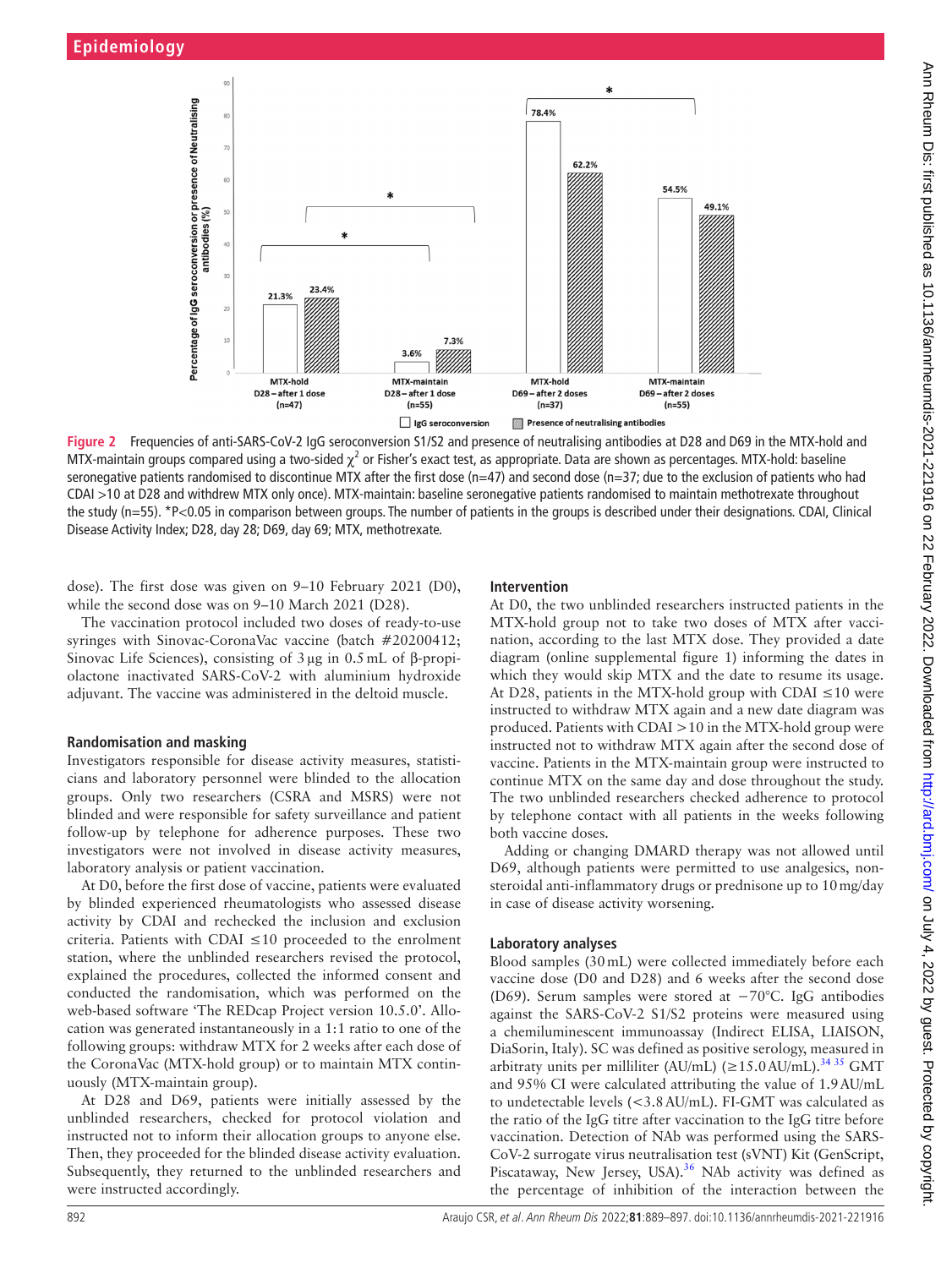

<span id="page-3-0"></span>**Figure 2** Frequencies of anti-SARS-CoV-2 IgG seroconversion S1/S2 and presence of neutralising antibodies at D28 and D69 in the MTX-hold and MTX-maintain groups compared using a two-sided  $\chi^2$  or Fisher's exact test, as appropriate. Data are shown as percentages. MTX-hold: baseline seronegative patients randomised to discontinue MTX after the first dose (n=47) and second dose (n=37; due to the exclusion of patients who had CDAI >10 at D28 and withdrew MTX only once). MTX-maintain: baseline seronegative patients randomised to maintain methotrexate throughout the study (n=55). \*P<0.05 in comparison between groups. The number of patients in the groups is described under their designations. CDAI, Clinical Disease Activity Index; D28, day 28; D69, day 69; MTX, methotrexate.

dose). The first dose was given on 9–10 February 2021 (D0), while the second dose was on 9–10 March 2021 (D28).

The vaccination protocol included two doses of ready-to-use syringes with Sinovac-CoronaVac vaccine (batch #20200412; Sinovac Life Sciences), consisting of 3µg in 0.5mL of β-propiolactone inactivated SARS-CoV-2 with aluminium hydroxide adjuvant. The vaccine was administered in the deltoid muscle.

#### **Randomisation and masking**

Investigators responsible for disease activity measures, statisticians and laboratory personnel were blinded to the allocation groups. Only two researchers (CSRA and MSRS) were not blinded and were responsible for safety surveillance and patient follow-up by telephone for adherence purposes. These two investigators were not involved in disease activity measures, laboratory analysis or patient vaccination.

At D0, before the first dose of vaccine, patients were evaluated by blinded experienced rheumatologists who assessed disease activity by CDAI and rechecked the inclusion and exclusion criteria. Patients with CDAI ≤10 proceeded to the enrolment station, where the unblinded researchers revised the protocol, explained the procedures, collected the informed consent and conducted the randomisation, which was performed on the web-based software 'The REDcap Project version 10.5.0'. Allocation was generated instantaneously in a 1:1 ratio to one of the following groups: withdraw MTX for 2 weeks after each dose of the CoronaVac (MTX-hold group) or to maintain MTX continuously (MTX-maintain group).

At D28 and D69, patients were initially assessed by the unblinded researchers, checked for protocol violation and instructed not to inform their allocation groups to anyone else. Then, they proceeded for the blinded disease activity evaluation. Subsequently, they returned to the unblinded researchers and were instructed accordingly.

#### **Intervention**

At D0, the two unblinded researchers instructed patients in the MTX-hold group not to take two doses of MTX after vaccination, according to the last MTX dose. They provided a date diagram ([online supplemental figure 1](https://dx.doi.org/10.1136/annrheumdis-2021-221916)) informing the dates in which they would skip MTX and the date to resume its usage. At D28, patients in the MTX-hold group with CDAI  $\leq 10$  were instructed to withdraw MTX again and a new date diagram was produced. Patients with CDAI >10 in the MTX-hold group were instructed not to withdraw MTX again after the second dose of vaccine. Patients in the MTX-maintain group were instructed to continue MTX on the same day and dose throughout the study. The two unblinded researchers checked adherence to protocol by telephone contact with all patients in the weeks following both vaccine doses.

Adding or changing DMARD therapy was not allowed until D69, although patients were permitted to use analgesics, nonsteroidal anti-inflammatory drugs or prednisone up to 10mg/day in case of disease activity worsening.

#### **Laboratory analyses**

Blood samples (30mL) were collected immediately before each vaccine dose (D0 and D28) and 6 weeks after the second dose (D69). Serum samples were stored at −70°C. IgG antibodies against the SARS-CoV-2 S1/S2 proteins were measured using a chemiluminescent immunoassay (Indirect ELISA, LIAISON, DiaSorin, Italy). SC was defined as positive serology, measured in arbitraty units per milliliter (AU/mL) ( $\geq$ 15.0AU/mL).<sup>3435</sup> GMT and 95% CI were calculated attributing the value of 1.9AU/mL to undetectable levels (<3.8AU/mL). FI-GMT was calculated as the ratio of the IgG titre after vaccination to the IgG titre before vaccination. Detection of NAb was performed using the SARS-CoV-2 surrogate virus neutralisation test (sVNT) Kit (GenScript, Piscataway, New Jersey, USA).<sup>36</sup> NAb activity was defined as the percentage of inhibition of the interaction between the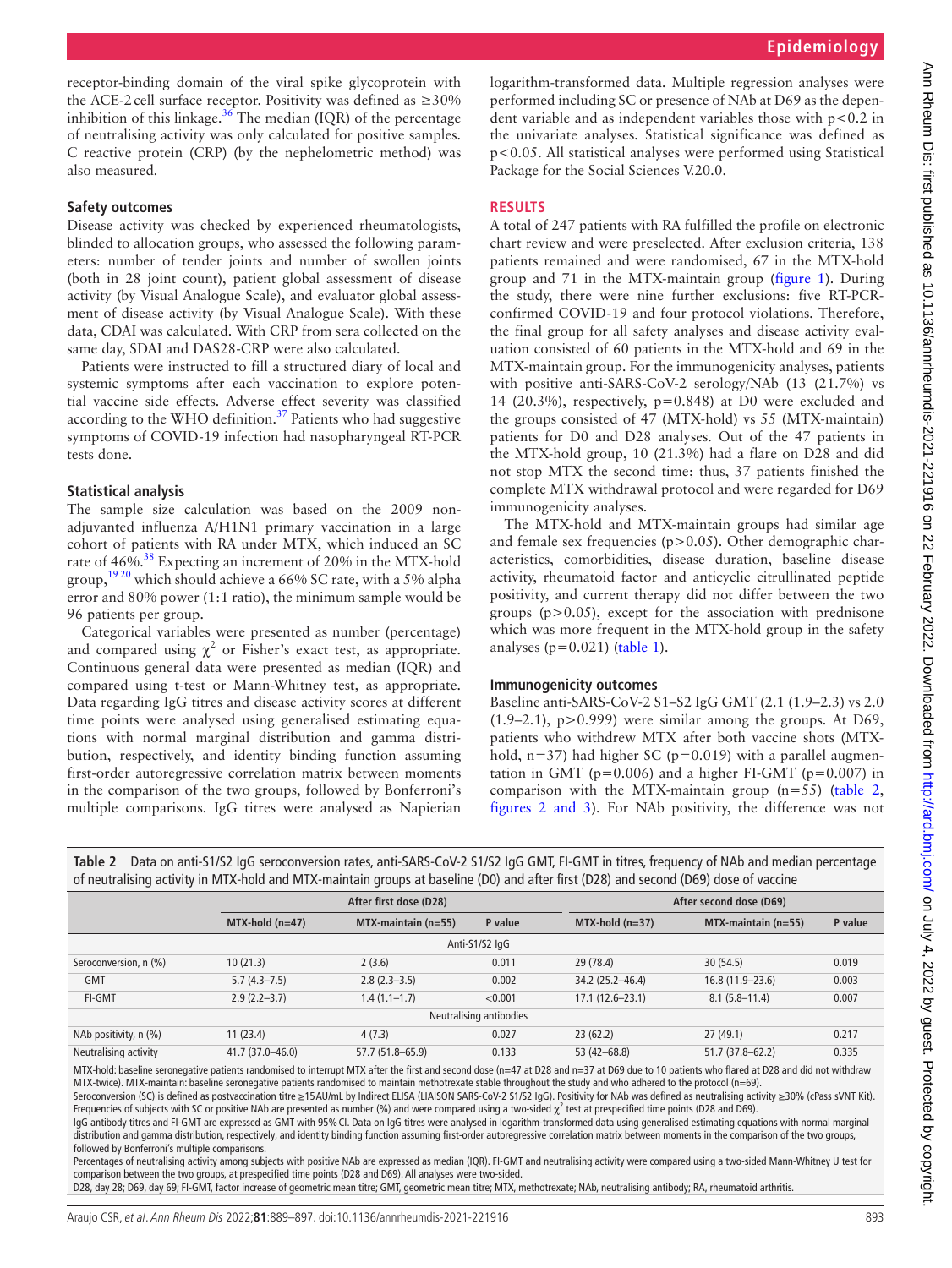receptor-binding domain of the viral spike glycoprotein with the ACE-2 cell surface receptor. Positivity was defined as  $\geq 30\%$ inhibition of this linkage.<sup>36</sup> The median (IQR) of the percentage of neutralising activity was only calculated for positive samples. C reactive protein (CRP) (by the nephelometric method) was also measured.

#### **Safety outcomes**

Disease activity was checked by experienced rheumatologists, blinded to allocation groups, who assessed the following parameters: number of tender joints and number of swollen joints (both in 28 joint count), patient global assessment of disease activity (by Visual Analogue Scale), and evaluator global assessment of disease activity (by Visual Analogue Scale). With these data, CDAI was calculated. With CRP from sera collected on the same day, SDAI and DAS28-CRP were also calculated.

Patients were instructed to fill a structured diary of local and systemic symptoms after each vaccination to explore potential vaccine side effects. Adverse effect severity was classified according to the WHO definition. $37$  Patients who had suggestive symptoms of COVID-19 infection had nasopharyngeal RT-PCR tests done.

#### **Statistical analysis**

The sample size calculation was based on the 2009 nonadjuvanted influenza A/H1N1 primary vaccination in a large cohort of patients with RA under MTX, which induced an SC rate of 46%.<sup>38</sup> Expecting an increment of 20% in the MTX-hold group,<sup>[19 20](#page-8-8)</sup> which should achieve a 66% SC rate, with a 5% alpha error and 80% power (1:1 ratio), the minimum sample would be 96 patients per group.

Categorical variables were presented as number (percentage) and compared using  $\chi^2$  or Fisher's exact test, as appropriate. Continuous general data were presented as median (IQR) and compared using t-test or Mann-Whitney test, as appropriate. Data regarding IgG titres and disease activity scores at different time points were analysed using generalised estimating equations with normal marginal distribution and gamma distribution, respectively, and identity binding function assuming first-order autoregressive correlation matrix between moments in the comparison of the two groups, followed by Bonferroni's multiple comparisons. IgG titres were analysed as Napierian

logarithm-transformed data. Multiple regression analyses were performed including SC or presence of NAb at D69 as the dependent variable and as independent variables those with  $p < 0.2$  in the univariate analyses. Statistical significance was defined as p<0.05. All statistical analyses were performed using Statistical Package for the Social Sciences V.20.0.

#### **RESULTS**

A total of 247 patients with RA fulfilled the profile on electronic chart review and were preselected. After exclusion criteria, 138 patients remained and were randomised, 67 in the MTX-hold group and 71 in the MTX-maintain group [\(figure](#page-1-0) 1). During the study, there were nine further exclusions: five RT-PCRconfirmed COVID-19 and four protocol violations. Therefore, the final group for all safety analyses and disease activity evaluation consisted of 60 patients in the MTX-hold and 69 in the MTX-maintain group. For the immunogenicity analyses, patients with positive anti-SARS-CoV-2 serology/NAb (13 (21.7%) vs 14 (20.3%), respectively, p=0.848) at D0 were excluded and the groups consisted of 47 (MTX-hold) vs 55 (MTX-maintain) patients for D0 and D28 analyses. Out of the 47 patients in the MTX-hold group, 10 (21.3%) had a flare on D28 and did not stop MTX the second time; thus, 37 patients finished the complete MTX withdrawal protocol and were regarded for D69 immunogenicity analyses.

The MTX-hold and MTX-maintain groups had similar age and female sex frequencies ( $p > 0.05$ ). Other demographic characteristics, comorbidities, disease duration, baseline disease activity, rheumatoid factor and anticyclic citrullinated peptide positivity, and current therapy did not differ between the two groups  $(p>0.05)$ , except for the association with prednisone which was more frequent in the MTX-hold group in the safety analyses  $(p=0.021)$  ([table](#page-2-0) 1).

#### **Immunogenicity outcomes**

Baseline anti-SARS-CoV-2 S1–S2 IgG GMT (2.1 (1.9–2.3) vs 2.0 (1.9–2.1), p>0.999) were similar among the groups. At D69, patients who withdrew MTX after both vaccine shots (MTXhold,  $n=37$ ) had higher SC ( $p=0.019$ ) with a parallel augmentation in GMT ( $p=0.006$ ) and a higher FI-GMT ( $p=0.007$ ) in comparison with the MTX-maintain group  $(n=55)$  [\(table](#page-4-0) 2, figures [2 and 3](#page-3-0)). For NAb positivity, the difference was not

| or neutransing activity in minimum and minimum groups at basemic (DO) and anch mst (DZO) and second (DOS) dose or vaccine |                  |                        |         |                     |                         |         |  |  |  |
|---------------------------------------------------------------------------------------------------------------------------|------------------|------------------------|---------|---------------------|-------------------------|---------|--|--|--|
|                                                                                                                           |                  | After first dose (D28) |         |                     | After second dose (D69) |         |  |  |  |
|                                                                                                                           | $MTX-hold(n=47)$ | $MTX$ -maintain (n=55) | P value | $MTX-hold (n=37)$   | $MTX$ -maintain (n=55)  | P value |  |  |  |
| Anti-S1/S2 IgG                                                                                                            |                  |                        |         |                     |                         |         |  |  |  |
| Seroconversion, n (%)                                                                                                     | 10(21.3)         | 2(3.6)                 | 0.011   | 29 (78.4)           | 30(54.5)                | 0.019   |  |  |  |
| <b>GMT</b>                                                                                                                | $5.7(4.3 - 7.5)$ | $2.8(2.3-3.5)$         | 0.002   | 34.2 (25.2-46.4)    | $16.8(11.9 - 23.6)$     | 0.003   |  |  |  |
| <b>FI-GMT</b>                                                                                                             | $2.9(2.2 - 3.7)$ | $1.4(1.1-1.7)$         | < 0.001 | $17.1(12.6 - 23.1)$ | $8.1(5.8 - 11.4)$       | 0.007   |  |  |  |
| Neutralising antibodies                                                                                                   |                  |                        |         |                     |                         |         |  |  |  |
| NAb positivity, n (%)                                                                                                     | 11(23.4)         | 4(7.3)                 | 0.027   | 23(62.2)            | 27(49.1)                | 0.217   |  |  |  |
| Neutralising activity                                                                                                     | 41.7 (37.0-46.0) | 57.7 (51.8-65.9)       | 0.133   | 53 (42-68.8)        | $51.7(37.8 - 62.2)$     | 0.335   |  |  |  |

<span id="page-4-0"></span>**Table 2** Data on anti-S1/S2 IgG seroconversion rates, anti-SARS-CoV-2 S1/S2 IgG GMT, FI-GMT in titres, frequency of NAb and median percentage of neutralising activity in MTX-hold and MTX-maintain groups at baseline (D0) and after first (D28) and second (D69) dose of vaccine

MTX-hold: baseline seronegative patients randomised to interrupt MTX after the first and second dose (n=47 at D28 and n=37 at D69 due to 10 patients who flared at D28 and did not withdraw MTX-twice). MTX-maintain: baseline seronegative patients randomised to maintain methotrexate stable throughout the study and who adhered to the protocol (n=69).

Seroconversion (SC) is defined as postvaccination titre ≥15AU/mL by Indirect ELISA (LIAISON SARS-CoV-2 S1/S2 IgG). Positivity for NAb was defined as neutralising activity ≥30% (cPass sVNT Kit). Frequencies of subjects with SC or positive NAb are presented as number (%) and were compared using a two-sided  $\chi^2$  test at prespecified time points (D28 and D69).

IgG antibody titres and FI-GMT are expressed as GMT with 95% CI. Data on IgG titres were analysed in logarithm-transformed data using generalised estimating equations with normal marginal distribution and gamma distribution, respectively, and identity binding function assuming first-order autoregressive correlation matrix between moments in the comparison of the two groups, followed by Bonferroni's multiple comparisons.

Percentages of neutralising activity among subjects with positive NAb are expressed as median (IQR). FI-GMT and neutralising activity were compared using a two-sided Mann-Whitney U test for comparison between the two groups, at prespecified time points (D28 and D69). All analyses were two-sided.

D28, day 28; D69, day 69; FI-GMT, factor increase of geometric mean titre; GMT, geometric mean titre; MTX, methotrexate; NAb, neutralising antibody; RA, rheumatoid arthritis.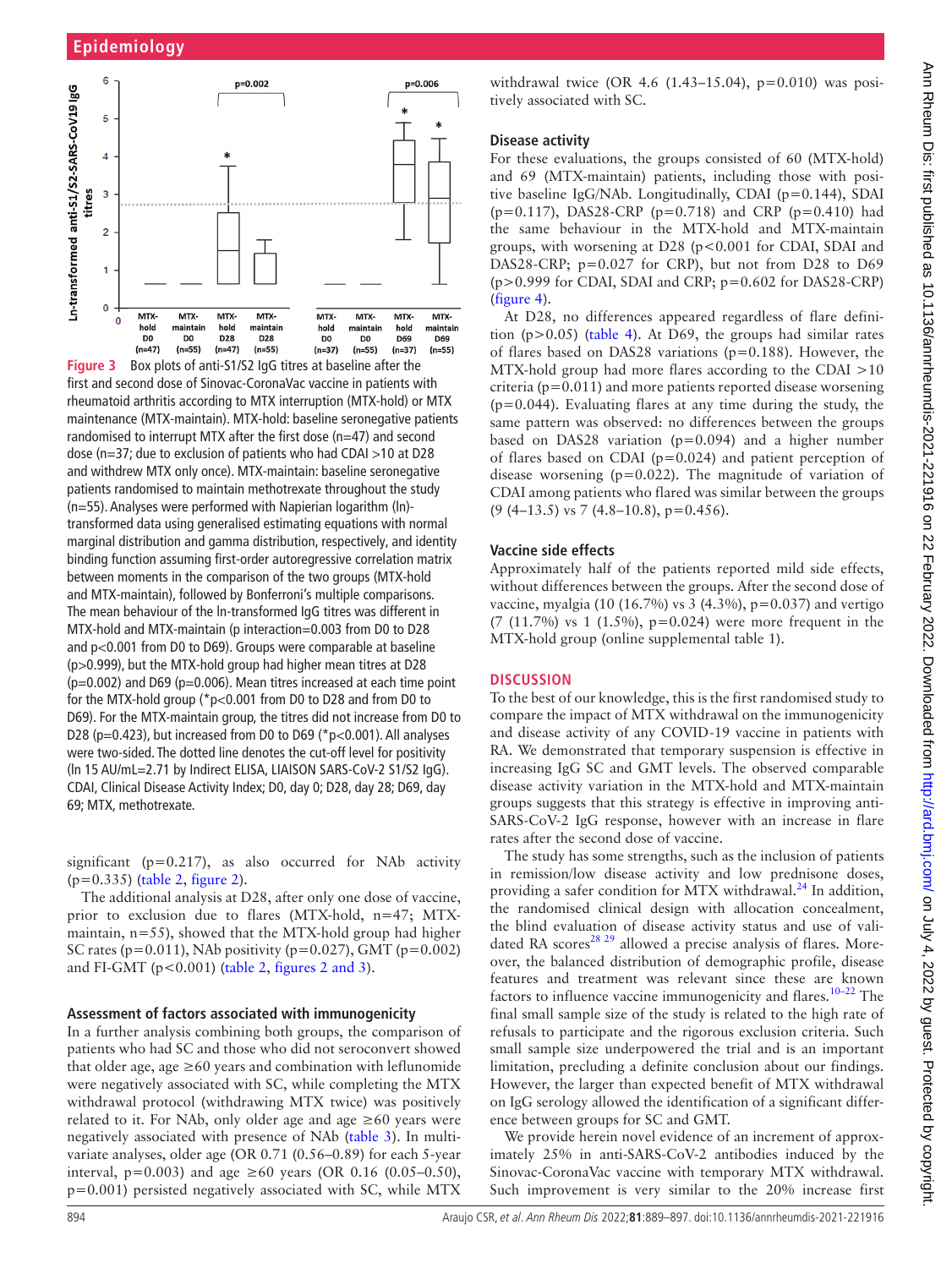

**Figure 3** Box plots of anti-S1/S2 IgG titres at baseline after the first and second dose of Sinovac-CoronaVac vaccine in patients with rheumatoid arthritis according to MTX interruption (MTX-hold) or MTX maintenance (MTX-maintain). MTX-hold: baseline seronegative patients randomised to interrupt MTX after the first dose (n=47) and second dose (n=37; due to exclusion of patients who had CDAI >10 at D28 and withdrew MTX only once). MTX-maintain: baseline seronegative patients randomised to maintain methotrexate throughout the study (n=55). Analyses were performed with Napierian logarithm (ln) transformed data using generalised estimating equations with normal marginal distribution and gamma distribution, respectively, and identity binding function assuming first-order autoregressive correlation matrix between moments in the comparison of the two groups (MTX-hold and MTX-maintain), followed by Bonferroni's multiple comparisons. The mean behaviour of the ln-transformed IgG titres was different in MTX-hold and MTX-maintain (p interaction=0.003 from D0 to D28 and p<0.001 from D0 to D69). Groups were comparable at baseline (p>0.999), but the MTX-hold group had higher mean titres at D28 (p=0.002) and D69 (p=0.006). Mean titres increased at each time point for the MTX-hold group (\*p<0.001 from D0 to D28 and from D0 to D69). For the MTX-maintain group, the titres did not increase from D0 to D28 (p=0.423), but increased from D0 to D69 ( $p$  =0.001). All analyses were two-sided. The dotted line denotes the cut-off level for positivity (ln 15 AU/mL=2.71 by Indirect ELISA, LIAISON SARS-CoV-2 S1/S2 IgG). CDAI, Clinical Disease Activity Index; D0, day 0; D28, day 28; D69, day 69; MTX, methotrexate.

significant ( $p=0.217$ ), as also occurred for NAb activity (p=0.335) ([table](#page-4-0) 2, [figure](#page-3-0) 2).

The additional analysis at D28, after only one dose of vaccine, prior to exclusion due to flares (MTX-hold, n=47; MTXmaintain, n=55), showed that the MTX-hold group had higher SC rates ( $p=0.011$ ), NAb positivity ( $p=0.027$ ), GMT ( $p=0.002$ ) and FI-GMT ( $p < 0.001$ ) ([table](#page-4-0) 2, figures [2 and 3](#page-3-0)).

#### **Assessment of factors associated with immunogenicity**

In a further analysis combining both groups, the comparison of patients who had SC and those who did not seroconvert showed that older age, age  $\geq 60$  years and combination with leflunomide were negatively associated with SC, while completing the MTX withdrawal protocol (withdrawing MTX twice) was positively related to it. For NAb, only older age and age  $\geq 60$  years were negatively associated with presence of NAb [\(table](#page-6-0) 3). In multivariate analyses, older age (OR 0.71 (0.56–0.89) for each 5-year interval, p=0.003) and age ≥60 years (OR 0.16 (0.05–0.50), p=0.001) persisted negatively associated with SC, while MTX

withdrawal twice (OR 4.6 (1.43–15.04), p=0.010) was positively associated with SC.

## **Disease activity**

For these evaluations, the groups consisted of 60 (MTX-hold) and 69 (MTX-maintain) patients, including those with positive baseline IgG/NAb. Longitudinally, CDAI (p=0.144), SDAI (p=0.117), DAS28-CRP (p=0.718) and CRP (p=0.410) had the same behaviour in the MTX-hold and MTX-maintain groups, with worsening at D28 (p<0.001 for CDAI, SDAI and DAS28-CRP;  $p=0.027$  for CRP), but not from D28 to D69 (p>0.999 for CDAI, SDAI and CRP; p=0.602 for DAS28-CRP) ([figure](#page-6-1) 4).

At D28, no differences appeared regardless of flare definition ( $p > 0.05$ ) ([table](#page-7-0) 4). At D69, the groups had similar rates of flares based on DAS28 variations (p=0.188). However, the MTX-hold group had more flares according to the CDAI >10 criteria ( $p=0.011$ ) and more patients reported disease worsening  $(p=0.044)$ . Evaluating flares at any time during the study, the same pattern was observed: no differences between the groups based on DAS28 variation  $(p=0.094)$  and a higher number of flares based on CDAI (p=0.024) and patient perception of disease worsening (p=0.022). The magnitude of variation of CDAI among patients who flared was similar between the groups  $(9 (4-13.5) \text{ vs } 7 (4.8-10.8), \text{ p} = 0.456).$ 

# **Vaccine side effects**

Approximately half of the patients reported mild side effects, without differences between the groups. After the second dose of vaccine, myalgia (10 (16.7%) vs 3 (4.3%),  $p=0.037$ ) and vertigo (7 (11.7%) vs 1 (1.5%), p=0.024) were more frequent in the MTX-hold group [\(online supplemental table 1\)](https://dx.doi.org/10.1136/annrheumdis-2021-221916).

# **DISCUSSION**

To the best of our knowledge, this is the first randomised study to compare the impact of MTX withdrawal on the immunogenicity and disease activity of any COVID-19 vaccine in patients with RA. We demonstrated that temporary suspension is effective in increasing IgG SC and GMT levels. The observed comparable disease activity variation in the MTX-hold and MTX-maintain groups suggests that this strategy is effective in improving anti-SARS-CoV-2 IgG response, however with an increase in flare rates after the second dose of vaccine.

The study has some strengths, such as the inclusion of patients in remission/low disease activity and low prednisone doses, providing a safer condition for MTX withdrawal.<sup>[24](#page-8-21)</sup> In addition, the randomised clinical design with allocation concealment, the blind evaluation of disease activity status and use of validated RA scores<sup>28 29</sup> allowed a precise analysis of flares. Moreover, the balanced distribution of demographic profile, disease features and treatment was relevant since these are known factors to influence vaccine immunogenicity and flares.<sup>10-22</sup> The final small sample size of the study is related to the high rate of refusals to participate and the rigorous exclusion criteria. Such small sample size underpowered the trial and is an important limitation, precluding a definite conclusion about our findings. However, the larger than expected benefit of MTX withdrawal on IgG serology allowed the identification of a significant difference between groups for SC and GMT.

We provide herein novel evidence of an increment of approximately 25% in anti-SARS-CoV-2 antibodies induced by the Sinovac-CoronaVac vaccine with temporary MTX withdrawal. Such improvement is very similar to the 20% increase first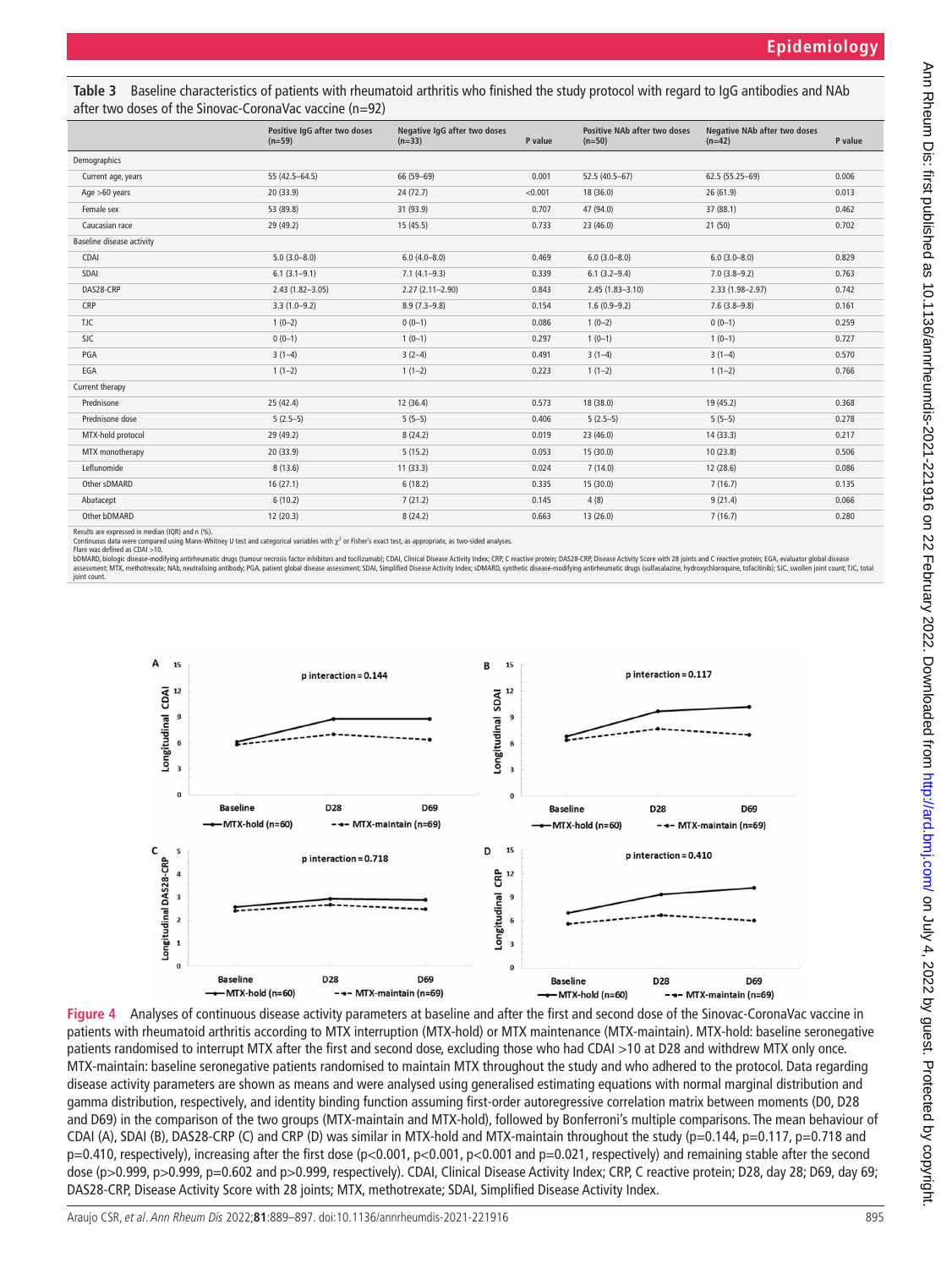<span id="page-6-0"></span>

| Table 3 Baseline characteristics of patients with rheumatoid arthritis who finished the study protocol with regard to IgG antibodies and NAb |
|----------------------------------------------------------------------------------------------------------------------------------------------|
| after two doses of the Sinovac-CoronaVac vaccine $(n=92)$                                                                                    |

|                                                                            | Positive IqG after two doses<br>$(n=59)$ | Negative IgG after two doses<br>$(n=33)$ | P value | <b>Positive NAb after two doses</b><br>$(n=50)$ | <b>Negative NAb after two doses</b><br>$(n=42)$ | P value |
|----------------------------------------------------------------------------|------------------------------------------|------------------------------------------|---------|-------------------------------------------------|-------------------------------------------------|---------|
| Demographics                                                               |                                          |                                          |         |                                                 |                                                 |         |
| Current age, years                                                         | 55 (42.5-64.5)                           | 66 (59-69)                               | 0.001   | $52.5(40.5-67)$                                 | 62.5 (55.25-69)                                 | 0.006   |
| Age $>60$ years                                                            | 20 (33.9)                                | 24(72.7)                                 | < 0.001 | 18 (36.0)                                       | 26(61.9)                                        | 0.013   |
| Female sex                                                                 | 53 (89.8)                                | 31 (93.9)                                | 0.707   | 47 (94.0)                                       | 37 (88.1)                                       | 0.462   |
| Caucasian race                                                             | 29 (49.2)                                | 15(45.5)                                 | 0.733   | 23 (46.0)                                       | 21(50)                                          | 0.702   |
| Baseline disease activity                                                  |                                          |                                          |         |                                                 |                                                 |         |
| CDAI                                                                       | $5.0(3.0 - 8.0)$                         | $6.0(4.0 - 8.0)$                         | 0.469   | $6.0(3.0 - 8.0)$                                | $6.0(3.0 - 8.0)$                                | 0.829   |
| SDAI                                                                       | $6.1(3.1-9.1)$                           | $7.1(4.1-9.3)$                           | 0.339   | $6.1(3.2 - 9.4)$                                | $7.0(3.8-9.2)$                                  | 0.763   |
| DAS28-CRP                                                                  | $2.43(1.82 - 3.05)$                      | $2.27(2.11 - 2.90)$                      | 0.843   | $2.45(1.83 - 3.10)$                             | 2.33 (1.98-2.97)                                | 0.742   |
| CRP                                                                        | $3.3(1.0-9.2)$                           | $8.9(7.3-9.8)$                           | 0.154   | $1.6(0.9-9.2)$                                  | $7.6(3.8-9.8)$                                  | 0.161   |
| TJC                                                                        | $1(0-2)$                                 | $0(0-1)$                                 | 0.086   | $1(0-2)$                                        | $0(0-1)$                                        | 0.259   |
| <b>SJC</b>                                                                 | $0(0-1)$                                 | $1(0-1)$                                 | 0.297   | $1(0-1)$                                        | $1(0-1)$                                        | 0.727   |
| PGA                                                                        | $3(1-4)$                                 | $3(2-4)$                                 | 0.491   | $3(1-4)$                                        | $3(1-4)$                                        | 0.570   |
| EGA                                                                        | $1(1-2)$                                 | $1(1-2)$                                 | 0.223   | $1(1-2)$                                        | $1(1-2)$                                        | 0.766   |
| Current therapy                                                            |                                          |                                          |         |                                                 |                                                 |         |
| Prednisone                                                                 | 25(42.4)                                 | 12(36.4)                                 | 0.573   | 18 (38.0)                                       | 19 (45.2)                                       | 0.368   |
| Prednisone dose                                                            | $5(2.5-5)$                               | $5(5-5)$                                 | 0.406   | $5(2.5-5)$                                      | $5(5-5)$                                        | 0.278   |
| MTX-hold protocol                                                          | 29 (49.2)                                | 8(24.2)                                  | 0.019   | 23 (46.0)                                       | 14(33.3)                                        | 0.217   |
| MTX monotherapy                                                            | 20(33.9)                                 | 5(15.2)                                  | 0.053   | 15 (30.0)                                       | 10(23.8)                                        | 0.506   |
| Leflunomide                                                                | 8(13.6)                                  | 11(33.3)                                 | 0.024   | 7(14.0)                                         | 12(28.6)                                        | 0.086   |
| Other sDMARD                                                               | 16(27.1)                                 | 6(18.2)                                  | 0.335   | 15 (30.0)                                       | 7(16.7)                                         | 0.135   |
| Abatacept                                                                  | 6(10.2)                                  | 7(21.2)                                  | 0.145   | 4(8)                                            | 9(21.4)                                         | 0.066   |
| Other bDMARD                                                               | 12(20.3)                                 | 8(24.2)                                  | 0.663   | 13(26.0)                                        | 7(16.7)                                         | 0.280   |
| $D_1$ and $D_2$ are compared in the distribution $D_1$ and $D_2$ and $D_3$ |                                          |                                          |         |                                                 |                                                 |         |

Results are expressed in median (IQR) and n (%).<br>Continuous data were compared using Mann-Whitney U test and categorical variables with χ<sup>2</sup> or Fisher's exact test, as appropriate, as two-sided analyses.

Flare was defined as CDAI > 10.<br>bDMARD, biologic disease-modifying antirheumatic drugs (tumour necrosis factor inhibitors and tocilizumab); CDAI, Clinical Disease Activity Index; CRP, C reactive protein; DA28-CRP, Disease assessment; MTX, methotrexate; NAb, meutralising antibody; PGA, patient global disease assessment; SDAI, Simplified Disease Activity Index; sDMARD, synthetic disease-modifying antimeumatic drugs (sulfasalazine, hydroxychlo joint count



<span id="page-6-1"></span>**Figure 4** Analyses of continuous disease activity parameters at baseline and after the first and second dose of the Sinovac-CoronaVac vaccine in patients with rheumatoid arthritis according to MTX interruption (MTX-hold) or MTX maintenance (MTX-maintain). MTX-hold: baseline seronegative patients randomised to interrupt MTX after the first and second dose, excluding those who had CDAI >10 at D28 and withdrew MTX only once. MTX-maintain: baseline seronegative patients randomised to maintain MTX throughout the study and who adhered to the protocol. Data regarding disease activity parameters are shown as means and were analysed using generalised estimating equations with normal marginal distribution and gamma distribution, respectively, and identity binding function assuming first-order autoregressive correlation matrix between moments (D0, D28 and D69) in the comparison of the two groups (MTX-maintain and MTX-hold), followed by Bonferroni's multiple comparisons. The mean behaviour of CDAI (A), SDAI (B), DAS28-CRP (C) and CRP (D) was similar in MTX-hold and MTX-maintain throughout the study (p=0.144, p=0.117, p=0.718 and p=0.410, respectively), increasing after the first dose (p<0.001, p<0.001, p<0.001 and p=0.021, respectively) and remaining stable after the second dose (p>0.999, p>0.999, p=0.602 and p>0.999, respectively). CDAI, Clinical Disease Activity Index; CRP, C reactive protein; D28, day 28; D69, day 69; DAS28-CRP, Disease Activity Score with 28 joints; MTX, methotrexate; SDAI, Simplified Disease Activity Index.

Ann Rheum Dis: first published as 10.1136/annheumdis-2021-221916 on 22 February 2022. Downloaded from http://ard.bmj.com/ on July 4, 2022 by guest. Protected by copyright Ann Dis: first published as 10.1136/annheumdis-2021 on 22 February 2022. Downloaded from <http://ard.bmj.com/> Ann Ann Ann Ann 2022 by guest. Protected by copyright.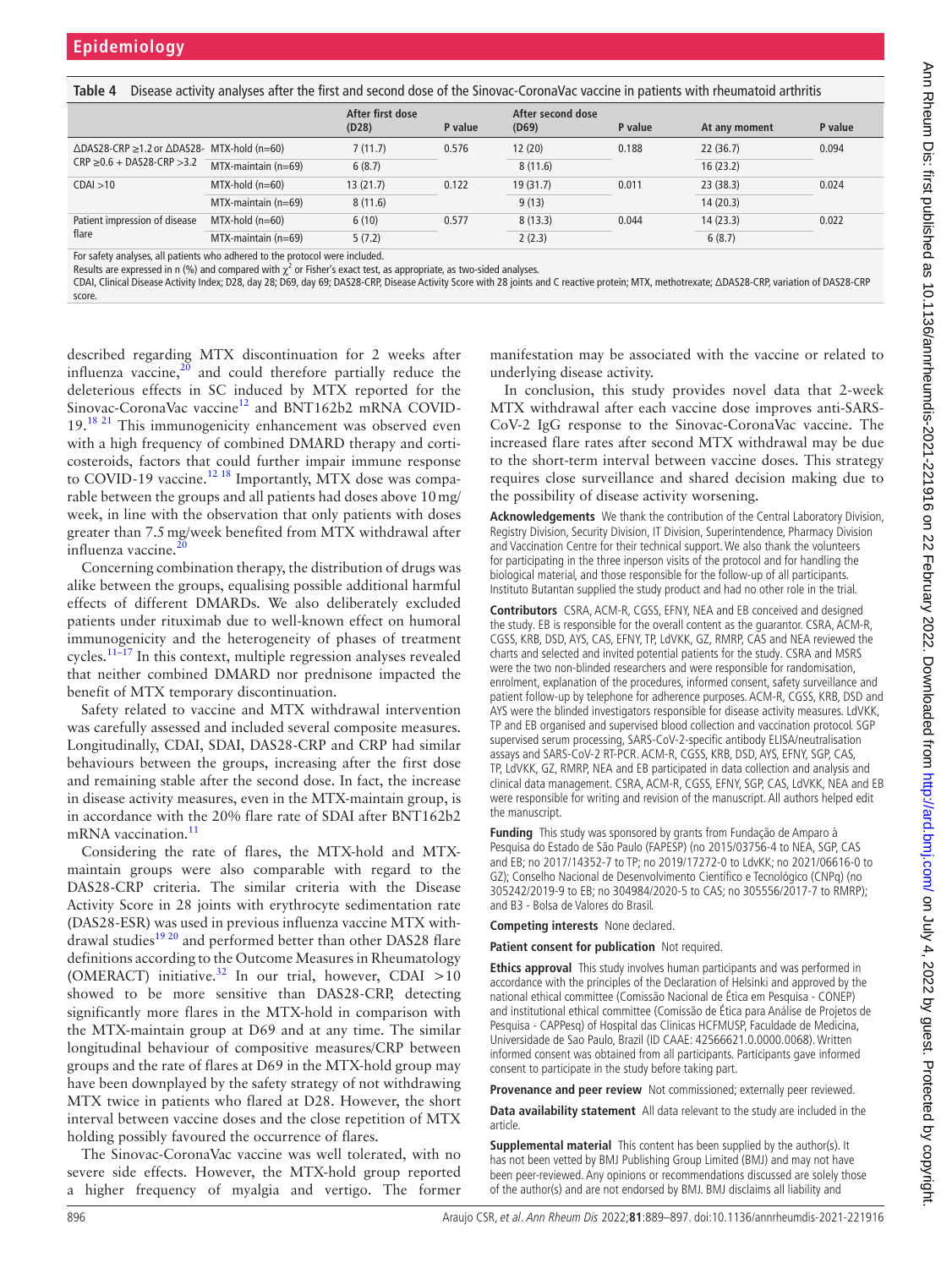<span id="page-7-0"></span>

|  |  |  |  |  | Table 4 Disease activity analyses after the first and second dose of the Sinovac-CoronaVac vaccine in patients with rheumatoid arthritis |
|--|--|--|--|--|------------------------------------------------------------------------------------------------------------------------------------------|
|--|--|--|--|--|------------------------------------------------------------------------------------------------------------------------------------------|

|                                                                                                           |                          | After first dose<br>(D28) | P value | After second dose<br>(D69) | P value | At any moment | P value |
|-----------------------------------------------------------------------------------------------------------|--------------------------|---------------------------|---------|----------------------------|---------|---------------|---------|
| $\triangle$ DAS28-CRP $\geq$ 1.2 or $\triangle$ DAS28- MTX-hold (n=60)<br>$CRP \ge 0.6 + DAS28-CRP > 3.2$ |                          | 7(11.7)                   | 0.576   | 12(20)                     | 0.188   | 22(36.7)      | 0.094   |
|                                                                                                           | MTX-maintain (n=69)      | 6(8.7)                    |         | 8(11.6)                    |         | 16(23.2)      |         |
| CDAI > 10                                                                                                 | $MTX$ -hold (n=60)       | 13(21.7)                  | 0.122   | 19(31.7)                   | 0.011   | 23(38.3)      | 0.024   |
|                                                                                                           | $MTX$ -maintain (n=69)   | 8(11.6)                   |         | 9(13)                      |         | 14(20.3)      |         |
| Patient impression of disease<br>flare                                                                    | $MTX-hold (n=60)$        | 6(10)                     | 0.577   | 8(13.3)                    | 0.044   | 14(23.3)      | 0.022   |
|                                                                                                           | $MTX$ -maintain $(n=69)$ | 5(7.2)                    |         | 2(2.3)                     |         | 6(8.7)        |         |

For safety analyses, all patients who adhered to the protocol were included.

Results are expressed in n (%) and compared with  $\chi^2$  or Fisher's exact test, as appropriate, as two-sided analyses.

CDAI, Clinical Disease Activity Index; D28, day 28; D69, day 69; DAS28-CRP, Disease Activity Score with 28 joints and C reactive protein; MTX, methotrexate; ΔDAS28-CRP, variation of DAS28-CRP score.

described regarding MTX discontinuation for 2 weeks after influenza vaccine, $2\bar{0}$  and could therefore partially reduce the deleterious effects in SC induced by MTX reported for the Sinovac-CoronaVac vaccine<sup>12</sup> and BNT162b2 mRNA COVID-19.<sup>[18 21](#page-8-23)</sup> This immunogenicity enhancement was observed even with a high frequency of combined DMARD therapy and corticosteroids, factors that could further impair immune response to COVID-19 vaccine.<sup>12 18</sup> Importantly, MTX dose was comparable between the groups and all patients had doses above 10mg/ week, in line with the observation that only patients with doses greater than 7.5mg/week benefited from MTX withdrawal after influenza vaccine.

Concerning combination therapy, the distribution of drugs was alike between the groups, equalising possible additional harmful effects of different DMARDs. We also deliberately excluded patients under rituximab due to well-known effect on humoral immunogenicity and the heterogeneity of phases of treatment cycles. $11-17$  In this context, multiple regression analyses revealed that neither combined DMARD nor prednisone impacted the benefit of MTX temporary discontinuation.

Safety related to vaccine and MTX withdrawal intervention was carefully assessed and included several composite measures. Longitudinally, CDAI, SDAI, DAS28-CRP and CRP had similar behaviours between the groups, increasing after the first dose and remaining stable after the second dose. In fact, the increase in disease activity measures, even in the MTX-maintain group, is in accordance with the 20% flare rate of SDAI after BNT162b2 mRNA vaccination.<sup>[11](#page-8-7)</sup>

Considering the rate of flares, the MTX-hold and MTXmaintain groups were also comparable with regard to the DAS28-CRP criteria. The similar criteria with the Disease Activity Score in 28 joints with erythrocyte sedimentation rate (DAS28-ESR) was used in previous influenza vaccine MTX withdrawal studies<sup>19 20</sup> and performed better than other DAS28 flare definitions according to the Outcome Measures in Rheumatology (OMERACT) initiative.<sup>32</sup> In our trial, however, CDAI >10 showed to be more sensitive than DAS28-CRP, detecting significantly more flares in the MTX-hold in comparison with the MTX-maintain group at D69 and at any time. The similar longitudinal behaviour of compositive measures/CRP between groups and the rate of flares at D69 in the MTX-hold group may have been downplayed by the safety strategy of not withdrawing MTX twice in patients who flared at D28. However, the short interval between vaccine doses and the close repetition of MTX holding possibly favoured the occurrence of flares.

The Sinovac-CoronaVac vaccine was well tolerated, with no severe side effects. However, the MTX-hold group reported a higher frequency of myalgia and vertigo. The former

manifestation may be associated with the vaccine or related to underlying disease activity.

In conclusion, this study provides novel data that 2-week MTX withdrawal after each vaccine dose improves anti-SARS-CoV-2 IgG response to the Sinovac-CoronaVac vaccine. The increased flare rates after second MTX withdrawal may be due to the short-term interval between vaccine doses. This strategy requires close surveillance and shared decision making due to the possibility of disease activity worsening.

**Acknowledgements** We thank the contribution of the Central Laboratory Division, Registry Division, Security Division, IT Division, Superintendence, Pharmacy Division and Vaccination Centre for their technical support. We also thank the volunteers for participating in the three inperson visits of the protocol and for handling the biological material, and those responsible for the follow-up of all participants. Instituto Butantan supplied the study product and had no other role in the trial.

**Contributors** CSRA, ACM-R, CGSS, EFNY, NEA and EB conceived and designed the study. EB is responsible for the overall content as the guarantor. CSRA, ACM-R, CGSS, KRB, DSD, AYS, CAS, EFNY, TP, LdVKK, GZ, RMRP, CAS and NEA reviewed the charts and selected and invited potential patients for the study. CSRA and MSRS were the two non-blinded researchers and were responsible for randomisation, enrolment, explanation of the procedures, informed consent, safety surveillance and patient follow-up by telephone for adherence purposes. ACM-R, CGSS, KRB, DSD and AYS were the blinded investigators responsible for disease activity measures. LdVKK, TP and EB organised and supervised blood collection and vaccination protocol. SGP supervised serum processing, SARS-CoV-2-specific antibody ELISA/neutralisation assays and SARS-CoV-2 RT-PCR. ACM-R, CGSS, KRB, DSD, AYS, EFNY, SGP, CAS, TP, LdVKK, GZ, RMRP, NEA and EB participated in data collection and analysis and clinical data management. CSRA, ACM-R, CGSS, EFNY, SGP, CAS, LdVKK, NEA and EB were responsible for writing and revision of the manuscript. All authors helped edit the manuscript.

**Funding** This study was sponsored by grants from Fundação de Amparo à Pesquisa do Estado de São Paulo (FAPESP) (no 2015/03756-4 to NEA, SGP, CAS and EB; no 2017/14352-7 to TP; no 2019/17272-0 to LdvKK; no 2021/06616-0 to GZ); Conselho Nacional de Desenvolvimento Científico e Tecnológico (CNPq) (no 305242/2019-9 to EB; no 304984/2020-5 to CAS; no 305556/2017-7 to RMRP); and B3 - Bolsa de Valores do Brasil.

**Competing interests** None declared.

**Patient consent for publication** Not required.

**Ethics approval** This study involves human participants and was performed in accordance with the principles of the Declaration of Helsinki and approved by the national ethical committee (Comissão Nacional de Ética em Pesquisa - CONEP) and institutional ethical committee (Comissão de Ética para Análise de Projetos de Pesquisa - CAPPesq) of Hospital das Clinicas HCFMUSP, Faculdade de Medicina, Universidade de Sao Paulo, Brazil (ID CAAE: 42566621.0.0000.0068). Written informed consent was obtained from all participants. Participants gave informed consent to participate in the study before taking part.

**Provenance and peer review** Not commissioned; externally peer reviewed.

**Data availability statement** All data relevant to the study are included in the article.

**Supplemental material** This content has been supplied by the author(s). It has not been vetted by BMJ Publishing Group Limited (BMJ) and may not have been peer-reviewed. Any opinions or recommendations discussed are solely those of the author(s) and are not endorsed by BMJ. BMJ disclaims all liability and